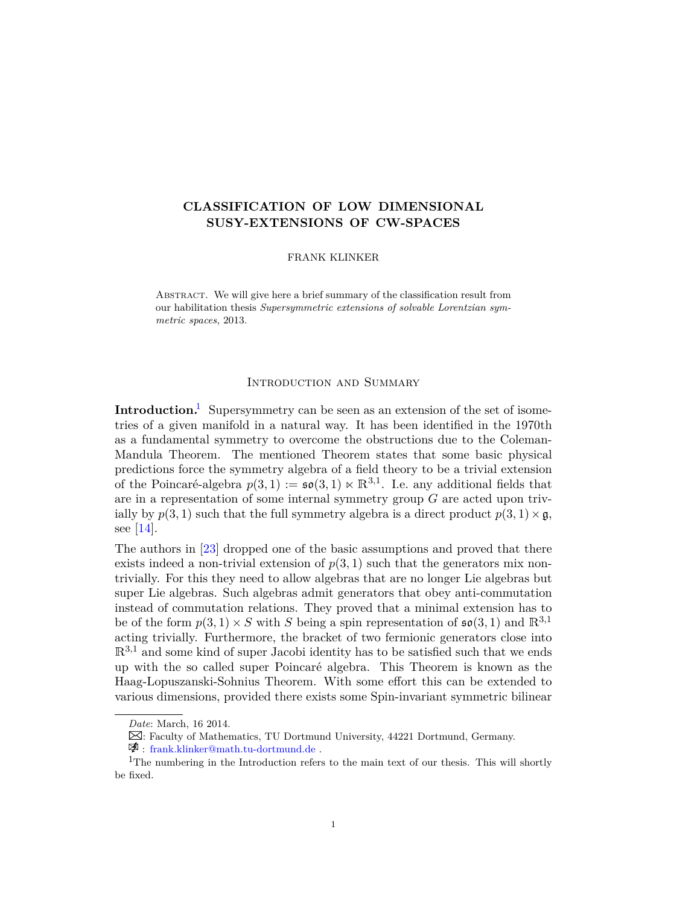# <span id="page-0-1"></span>**CLASSIFICATION OF LOW DIMENSIONAL SUSY-EXTENSIONS OF CW-SPACES**

FRANK KLINKER

Abstract. We will give here a brief summary of the classification result from our habilitation thesis *Supersymmetric extensions of solvable Lorentzian symmetric spaces*, 2013.

### Introduction and Summary

**Introduction.** Supersymmetry can be seen as an extension of the set of isometries of a given manifold in a natural way. It has been identified in the 1970th as a fundamental symmetry to overcome the obstructions due to the Coleman-Mandula Theorem. The mentioned Theorem states that some basic physical predictions force the symmetry algebra of a field theory to be a trivial extension of the Poincaré-algebra  $p(3,1) := \mathfrak{so}(3,1) \ltimes \mathbb{R}^{3,1}$ . I.e. any additional fields that are in a representation of some internal symmetry group *G* are acted upon trivially by  $p(3, 1)$  such that the full symmetry algebra is a direct product  $p(3, 1) \times \mathfrak{g}$ , see [\[14\]](#page-16-0).

The authors in [\[23\]](#page-16-1) dropped one of the basic assumptions and proved that there exists indeed a non-trivial extension of  $p(3, 1)$  such that the generators mix nontrivially. For this they need to allow algebras that are no longer Lie algebras but super Lie algebras. Such algebras admit generators that obey anti-commutation instead of commutation relations. They proved that a minimal extension has to be of the form  $p(3,1) \times S$  with *S* being a spin representation of  $\mathfrak{so}(3,1)$  and  $\mathbb{R}^{3,1}$ acting trivially. Furthermore, the bracket of two fermionic generators close into  $\mathbb{R}^{3,1}$  and some kind of super Jacobi identity has to be satisfied such that we ends up with the so called super Poincar´e algebra. This Theorem is known as the Haag-Lopuszanski-Sohnius Theorem. With some effort this can be extended to various dimensions, provided there exists some Spin-invariant symmetric bilinear

*Date*: March, 16 2014.

B: Faculty of Mathematics, TU Dortmund University, 44221 Dortmund, Germany.

<span id="page-0-0"></span> $\mathcal{F}:$  [frank.klinker@math.tu-dortmund.de](mailto:frank.klinker@math.tu-dortmund.de).

<sup>&</sup>lt;sup>1</sup>The numbering in the Introduction refers to the main text of our thesis. This will shortly be fixed.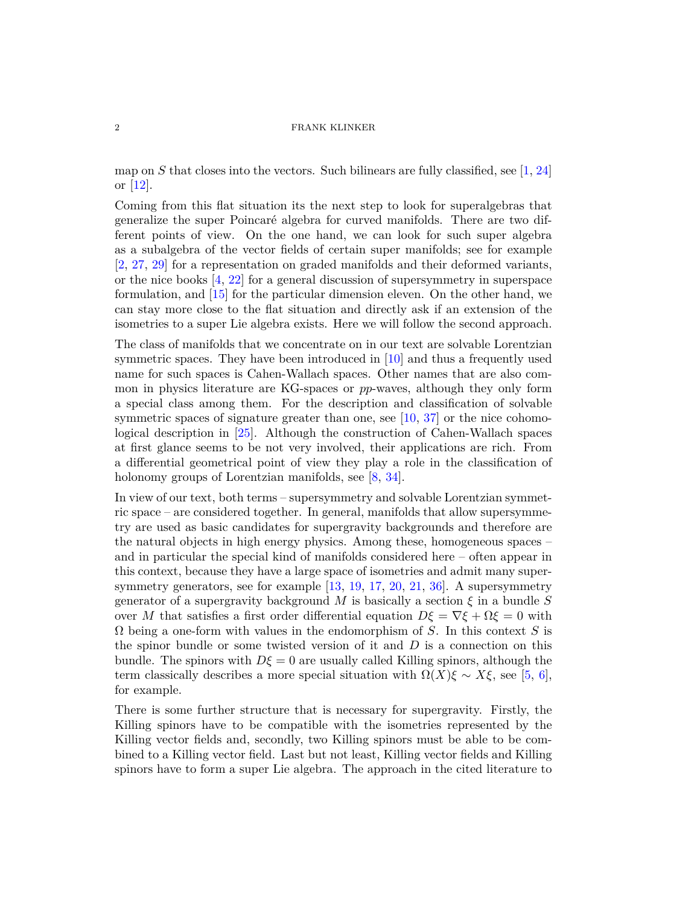map on *S* that closes into the vectors. Such bilinears are fully classified, see  $[1, 24]$  $[1, 24]$ or [\[12\]](#page-16-3).

Coming from this flat situation its the next step to look for superalgebras that generalize the super Poincaré algebra for curved manifolds. There are two different points of view. On the one hand, we can look for such super algebra as a subalgebra of the vector fields of certain super manifolds; see for example [\[2,](#page-15-1) [27,](#page-16-4) [29\]](#page-16-5) for a representation on graded manifolds and their deformed variants, or the nice books [\[4,](#page-15-2) [22\]](#page-16-6) for a general discussion of supersymmetry in superspace formulation, and [\[15\]](#page-16-7) for the particular dimension eleven. On the other hand, we can stay more close to the flat situation and directly ask if an extension of the isometries to a super Lie algebra exists. Here we will follow the second approach.

The class of manifolds that we concentrate on in our text are solvable Lorentzian symmetric spaces. They have been introduced in [\[10\]](#page-15-3) and thus a frequently used name for such spaces is Cahen-Wallach spaces. Other names that are also common in physics literature are KG-spaces or *pp*-waves, although they only form a special class among them. For the description and classification of solvable symmetric spaces of signature greater than one, see  $[10, 37]$  $[10, 37]$  or the nice cohomological description in [\[25\]](#page-16-8). Although the construction of Cahen-Wallach spaces at first glance seems to be not very involved, their applications are rich. From a differential geometrical point of view they play a role in the classification of holonomy groups of Lorentzian manifolds, see [\[8,](#page-15-4) [34\]](#page-17-1).

In view of our text, both terms – supersymmetry and solvable Lorentzian symmetric space – are considered together. In general, manifolds that allow supersymmetry are used as basic candidates for supergravity backgrounds and therefore are the natural objects in high energy physics. Among these, homogeneous spaces – and in particular the special kind of manifolds considered here – often appear in this context, because they have a large space of isometries and admit many supersymmetry generators, see for example [\[13,](#page-16-9) [19,](#page-16-10) [17,](#page-16-11) [20,](#page-16-12) [21,](#page-16-13) [36\]](#page-17-2). A supersymmetry generator of a supergravity background  $M$  is basically a section  $\xi$  in a bundle  $S$ over *M* that satisfies a first order differential equation  $D\xi = \nabla \xi + \Omega \xi = 0$  with Ω being a one-form with values in the endomorphism of *S*. In this context *S* is the spinor bundle or some twisted version of it and *D* is a connection on this bundle. The spinors with  $D\xi = 0$  are usually called Killing spinors, although the term classically describes a more special situation with  $\Omega(X)\xi \sim X\xi$ , see [\[5,](#page-15-5) [6\]](#page-15-6), for example.

There is some further structure that is necessary for supergravity. Firstly, the Killing spinors have to be compatible with the isometries represented by the Killing vector fields and, secondly, two Killing spinors must be able to be combined to a Killing vector field. Last but not least, Killing vector fields and Killing spinors have to form a super Lie algebra. The approach in the cited literature to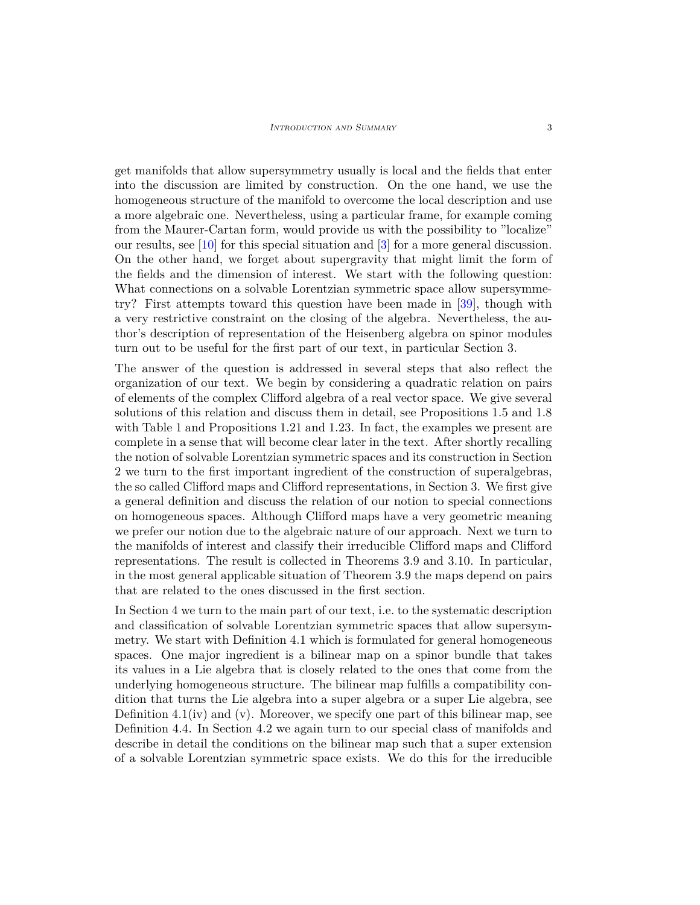get manifolds that allow supersymmetry usually is local and the fields that enter into the discussion are limited by construction. On the one hand, we use the homogeneous structure of the manifold to overcome the local description and use a more algebraic one. Nevertheless, using a particular frame, for example coming from the Maurer-Cartan form, would provide us with the possibility to "localize" our results, see [\[10\]](#page-15-3) for this special situation and [\[3\]](#page-15-7) for a more general discussion. On the other hand, we forget about supergravity that might limit the form of the fields and the dimension of interest. We start with the following question: What connections on a solvable Lorentzian symmetric space allow supersymmetry? First attempts toward this question have been made in [\[39\]](#page-17-3), though with a very restrictive constraint on the closing of the algebra. Nevertheless, the author's description of representation of the Heisenberg algebra on spinor modules turn out to be useful for the first part of our text, in particular Section 3.

The answer of the question is addressed in several steps that also reflect the organization of our text. We begin by considering a quadratic relation on pairs of elements of the complex Clifford algebra of a real vector space. We give several solutions of this relation and discuss them in detail, see Propositions 1.5 and 1.8 with Table 1 and Propositions 1.21 and 1.23. In fact, the examples we present are complete in a sense that will become clear later in the text. After shortly recalling the notion of solvable Lorentzian symmetric spaces and its construction in Section 2 we turn to the first important ingredient of the construction of superalgebras, the so called Clifford maps and Clifford representations, in Section 3. We first give a general definition and discuss the relation of our notion to special connections on homogeneous spaces. Although Clifford maps have a very geometric meaning we prefer our notion due to the algebraic nature of our approach. Next we turn to the manifolds of interest and classify their irreducible Clifford maps and Clifford representations. The result is collected in Theorems 3.9 and 3.10. In particular, in the most general applicable situation of Theorem 3.9 the maps depend on pairs that are related to the ones discussed in the first section.

In Section 4 we turn to the main part of our text, i.e. to the systematic description and classification of solvable Lorentzian symmetric spaces that allow supersymmetry. We start with Definition 4.1 which is formulated for general homogeneous spaces. One major ingredient is a bilinear map on a spinor bundle that takes its values in a Lie algebra that is closely related to the ones that come from the underlying homogeneous structure. The bilinear map fulfills a compatibility condition that turns the Lie algebra into a super algebra or a super Lie algebra, see Definition  $4.1(iv)$  and (v). Moreover, we specify one part of this bilinear map, see Definition 4.4. In Section 4.2 we again turn to our special class of manifolds and describe in detail the conditions on the bilinear map such that a super extension of a solvable Lorentzian symmetric space exists. We do this for the irreducible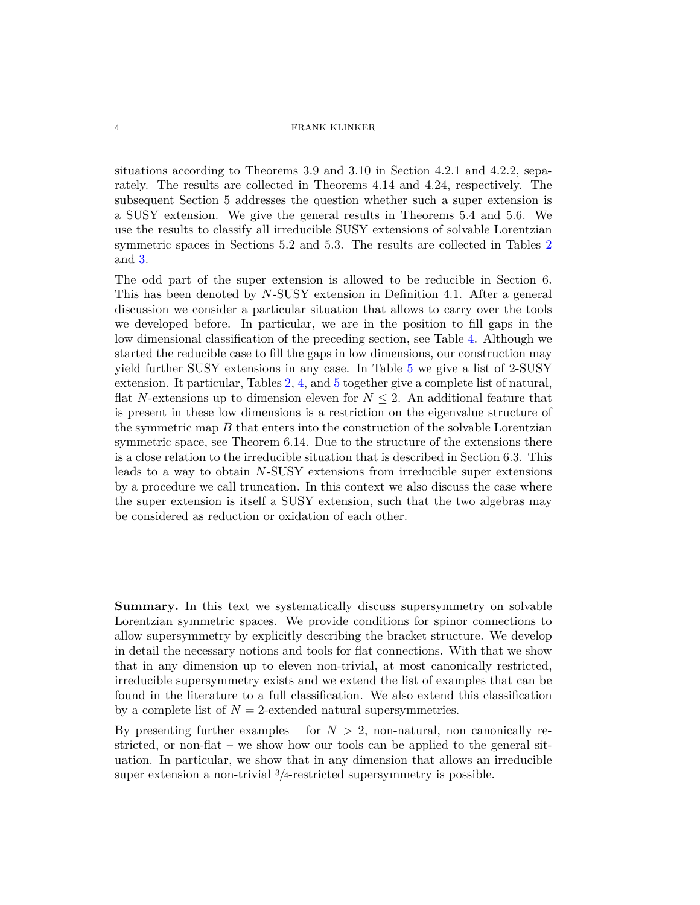situations according to Theorems 3.9 and 3.10 in Section 4.2.1 and 4.2.2, separately. The results are collected in Theorems 4.14 and 4.24, respectively. The subsequent Section 5 addresses the question whether such a super extension is a SUSY extension. We give the general results in Theorems 5.4 and 5.6. We use the results to classify all irreducible SUSY extensions of solvable Lorentzian symmetric spaces in Sections 5.2 and 5.3. The results are collected in Tables [2](#page-11-0) and [3.](#page-12-0)

The odd part of the super extension is allowed to be reducible in Section 6. This has been denoted by *N*-SUSY extension in Definition 4.1. After a general discussion we consider a particular situation that allows to carry over the tools we developed before. In particular, we are in the position to fill gaps in the low dimensional classification of the preceding section, see Table [4.](#page-13-0) Although we started the reducible case to fill the gaps in low dimensions, our construction may yield further SUSY extensions in any case. In Table [5](#page-14-0) we give a list of 2-SUSY extension. It particular, Tables [2,](#page-11-0) [4,](#page-13-0) and [5](#page-14-0) together give a complete list of natural, flat *N*-extensions up to dimension eleven for  $N \leq 2$ . An additional feature that is present in these low dimensions is a restriction on the eigenvalue structure of the symmetric map *B* that enters into the construction of the solvable Lorentzian symmetric space, see Theorem 6.14. Due to the structure of the extensions there is a close relation to the irreducible situation that is described in Section 6.3. This leads to a way to obtain *N*-SUSY extensions from irreducible super extensions by a procedure we call truncation. In this context we also discuss the case where the super extension is itself a SUSY extension, such that the two algebras may be considered as reduction or oxidation of each other.

**Summary.** In this text we systematically discuss supersymmetry on solvable Lorentzian symmetric spaces. We provide conditions for spinor connections to allow supersymmetry by explicitly describing the bracket structure. We develop in detail the necessary notions and tools for flat connections. With that we show that in any dimension up to eleven non-trivial, at most canonically restricted, irreducible supersymmetry exists and we extend the list of examples that can be found in the literature to a full classification. We also extend this classification by a complete list of  $N = 2$ -extended natural supersymmetries.

By presenting further examples – for  $N > 2$ , non-natural, non canonically restricted, or non-flat – we show how our tools can be applied to the general situation. In particular, we show that in any dimension that allows an irreducible super extension a non-trivial <sup>3</sup>*/*4-restricted supersymmetry is possible.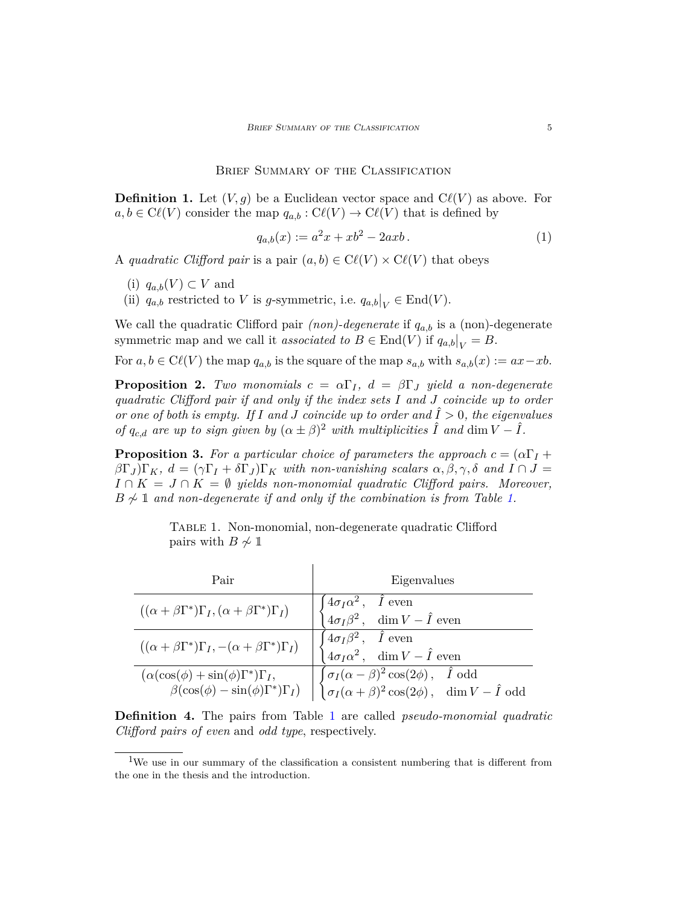BRIEF SUMMARY OF THE CLASSIFICATION

**Definition 1.** Let  $(V, g)$  be a Euclidean vector space and  $C\ell(V)$  as above. For  $a, b \in \mathrm{C}\ell(V)$  consider the map  $q_{a,b}: \mathrm{C}\ell(V) \to \mathrm{C}\ell(V)$  that is defined by

$$
q_{a,b}(x) := a^2x + xb^2 - 2axb.
$$
 (1)

A *quadratic Clifford pair* is a pair  $(a, b) \in C\ell(V) \times C\ell(V)$  that obeys

- (i)  $q_{a,b}(V)$  ⊂ *V* and
- (ii)  $q_{a,b}$  restricted to *V* is *g*-symmetric, i.e.  $q_{a,b}|_V \in \text{End}(V)$ .

We call the quadratic Clifford pair *(non)-degenerate* if *qa,b* is a (non)-degenerate symmetric map and we call it *associated to*  $B \in \text{End}(V)$  if  $q_{a,b}|_V = B$ .

For  $a, b \in \mathcal{C}\ell(V)$  the map  $q_{a,b}$  is the square of the map  $s_{a,b}$  with  $s_{a,b}(x) := ax - xb$ .

**Proposition 2.** *Two monomials*  $c = \alpha \Gamma_I$ ,  $d = \beta \Gamma_J$  *yield a non-degenerate quadratic Clifford pair if and only if the index sets I and J coincide up to order or one of both is empty.* If I and J coincide up to order and  $\hat{I} > 0$ , the eigenvalues *of*  $q_{c,d}$  *are up to sign given by*  $(\alpha \pm \beta)^2$  *with multiplicities*  $\hat{I}$  *and* dim  $V - \hat{I}$ *.* 

**Proposition 3.** For a particular choice of parameters the approach  $c = (\alpha \Gamma_I + \alpha \Gamma_I)$ *β*Γ*<sup>J</sup>* )Γ*K, d* = (*γ*Γ*<sup>I</sup>* + *δ*Γ*<sup>J</sup>* )Γ*<sup>K</sup> with non-vanishing scalars α, β, γ, δ and I* ∩ *J* = *I* ∩  $K = J \cap K = ∅$  *yields non-monomial quadratic Clifford pairs. Moreover,*  $B \nsim \mathbb{I}$  *and non-degenerate if and only if the combination is from Table [1.](#page-4-0)* 

> <span id="page-4-0"></span>Table 1. Non-monomial, non-degenerate quadratic Clifford pairs with  $B \nsim \mathbb{1}$

| Pair                                                                      | Eigenvalues                                                                                                                                                                                                                                                         |
|---------------------------------------------------------------------------|---------------------------------------------------------------------------------------------------------------------------------------------------------------------------------------------------------------------------------------------------------------------|
| $((\alpha + \beta \Gamma^*)\Gamma_I, (\alpha + \beta \Gamma^*)\Gamma_I)$  | $\begin{cases} 4\sigma_I\alpha^2, & \hat{I} \text{ even} \\ 4\sigma_I\beta^2, & \dim V - \hat{I} \text{ even} \end{cases}$                                                                                                                                          |
| $((\alpha + \beta \Gamma^*)\Gamma_I, -(\alpha + \beta \Gamma^*)\Gamma_I)$ | $\begin{cases} 4\sigma_I\beta^2, & \hat{I} \text{ even} \\ 4\sigma_I\alpha^2, & \dim V - \hat{I} \text{ even} \end{cases}$                                                                                                                                          |
| $(\alpha(\cos(\phi) + \sin(\phi)\Gamma^*))\Gamma_I$ ,                     | $\beta(\phi) + \sin(\phi)\Gamma^*\Gamma_I,$<br>$\beta(\cos(\phi) - \sin(\phi)\Gamma^*\Gamma_I)$ $\begin{cases} \sigma_I(\alpha - \beta)^2 \cos(2\phi), & \hat{I} \text{ odd} \\ \sigma_I(\alpha + \beta)^2 \cos(2\phi), & \dim V - \hat{I} \text{ odd} \end{cases}$ |

**Definition 4.** The pairs from Table [1](#page-4-0) are called *pseudo-monomial quadratic Clifford pairs of even* and *odd type*, respectively.

<sup>1</sup>We use in our summary of the classification a consistent numbering that is different from the one in the thesis and the introduction.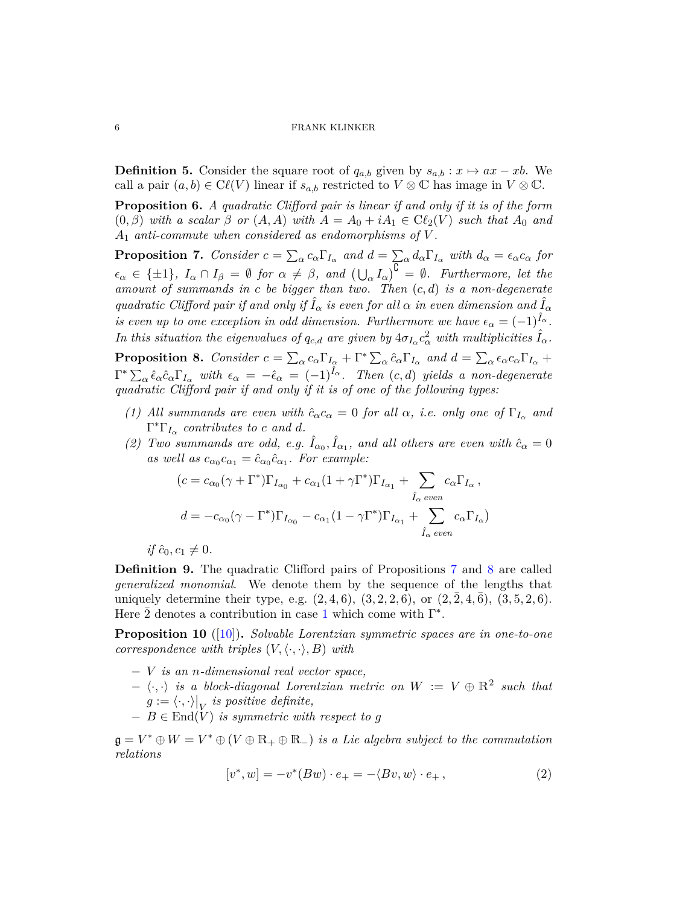**Definition 5.** Consider the square root of  $q_{a,b}$  given by  $s_{a,b}: x \mapsto ax - xb$ . We call a pair  $(a, b) \in \mathrm{C}\ell(V)$  linear if  $s_{a,b}$  restricted to  $V \otimes \mathbb{C}$  has image in  $V \otimes \mathbb{C}$ .

**Proposition 6.** *A quadratic Clifford pair is linear if and only if it is of the form*  $(0, \beta)$  *with* a scalar  $\beta$  or  $(A, A)$  *with*  $A = A_0 + iA_1 \in C\ell_2(V)$  *such that*  $A_0$  *and A*<sup>1</sup> *anti-commute when considered as endomorphisms of V .*

<span id="page-5-0"></span>**Proposition 7.** Consider  $c = \sum_{\alpha} c_{\alpha} \Gamma_{I_{\alpha}}$  and  $d = \sum_{\alpha} d_{\alpha} \Gamma_{I_{\alpha}}$  with  $d_{\alpha} = \epsilon_{\alpha} c_{\alpha}$  for  $\epsilon_{\alpha} \in \{\pm 1\}$ ,  $I_{\alpha} \cap I_{\beta} = \emptyset$  *for*  $\alpha \neq \beta$ , and  $\left(\bigcup_{\alpha} I_{\alpha}\right)^{\alpha} = \emptyset$ . Furthermore, let the *amount of summands in c be bigger than two. Then* (*c, d*) *is a non-degenerate quadratic Clifford pair if and only if*  $\hat{I}_{\alpha}$  *is even for all*  $\alpha$  *in even dimension and*  $\hat{I}_{\alpha}$ *is even up to one exception in odd dimension. Furthermore we have*  $\epsilon_{\alpha} = (-1)^{\hat{I}_{\alpha}}$ . *In this situation the eigenvalues of*  $q_{c,d}$  *are given by*  $4\sigma_{I_\alpha}c_\alpha^2$  *with multiplicities*  $\hat{I}_\alpha$ *.* 

<span id="page-5-1"></span>**Proposition 8.** *Consider*  $c = \sum_{\alpha} c_{\alpha} \Gamma_{I_{\alpha}} + \Gamma^* \sum_{\alpha} \hat{c}_{\alpha} \Gamma_{I_{\alpha}}$  *and*  $d = \sum_{\alpha} \epsilon_{\alpha} c_{\alpha} \Gamma_{I_{\alpha}} +$  $\Gamma^* \sum_\alpha \hat{\epsilon}_\alpha \hat{c}_\alpha \Gamma_{I_\alpha}$  with  $\epsilon_\alpha = -\hat{\epsilon}_\alpha = (-1)^{\hat{I}_\alpha}$ . Then  $(c,d)$  yields a non-degenerate *quadratic Clifford pair if and only if it is of one of the following types:*

- <span id="page-5-2"></span>*(1) All summands are even with*  $\hat{c}_{\alpha}c_{\alpha} = 0$  *for all*  $\alpha$ *, i.e. only one of*  $\Gamma_{I_{\alpha}}$  *and*  $\Gamma^* \Gamma_{I_\alpha}$  *contributes to c and d.*
- *(2) Two summands are odd, e.g.*  $\hat{I}_{\alpha_0}$ ,  $\hat{I}_{\alpha_1}$ , and all others are even with  $\hat{c}_{\alpha} = 0$ *as well as*  $c_{\alpha_0}c_{\alpha_1} = \hat{c}_{\alpha_0}\hat{c}_{\alpha_1}$ *. For example:*

$$
(c = c_{\alpha_0}(\gamma + \Gamma^*)\Gamma_{I_{\alpha_0}} + c_{\alpha_1}(1 + \gamma \Gamma^*)\Gamma_{I_{\alpha_1}} + \sum_{\hat{I}_{\alpha} \text{ even}} c_{\alpha} \Gamma_{I_{\alpha}},
$$
  

$$
d = -c_{\alpha_0}(\gamma - \Gamma^*)\Gamma_{I_{\alpha_0}} - c_{\alpha_1}(1 - \gamma \Gamma^*)\Gamma_{I_{\alpha_1}} + \sum_{\hat{I}_{\alpha} \text{ even}} c_{\alpha} \Gamma_{I_{\alpha}})
$$

*if*  $\hat{c}_0, c_1 \neq 0$ .

**Definition 9.** The quadratic Clifford pairs of Propositions [7](#page-5-0) and [8](#page-5-1) are called *generalized monomial*. We denote them by the sequence of the lengths that uniquely determine their type, e.g.  $(2, 4, 6)$ ,  $(3, 2, 2, 6)$ , or  $(2, 2, 4, 6)$ ,  $(3, 5, 2, 6)$ . Here  $\bar{2}$  denotes a contribution in case [1](#page-5-2) which come with  $\Gamma^*$ .

**Proposition 10** ([\[10\]](#page-15-3))**.** *Solvable Lorentzian symmetric spaces are in one-to-one correspondence with triples*  $(V, \langle \cdot, \cdot \rangle, B)$  *with* 

- − *V is an n-dimensional real vector space,*
- $\langle \cdot, \cdot \rangle$  *is a block-diagonal Lorentzian metric on*  $W := V \oplus \mathbb{R}^2$  such that  $g := \langle \cdot, \cdot \rangle \big|_V$  is positive definite,
- $-B \in End(V)$  *is symmetric with respect to g*

 $\mathfrak{g} = V^* \oplus W = V^* \oplus (V \oplus \mathbb{R}_+ \oplus \mathbb{R}_-)$  *is a Lie algebra subject to the commutation relations*

$$
[v^*, w] = -v^*(Bw) \cdot e_+ = -\langle Bv, w \rangle \cdot e_+, \qquad (2)
$$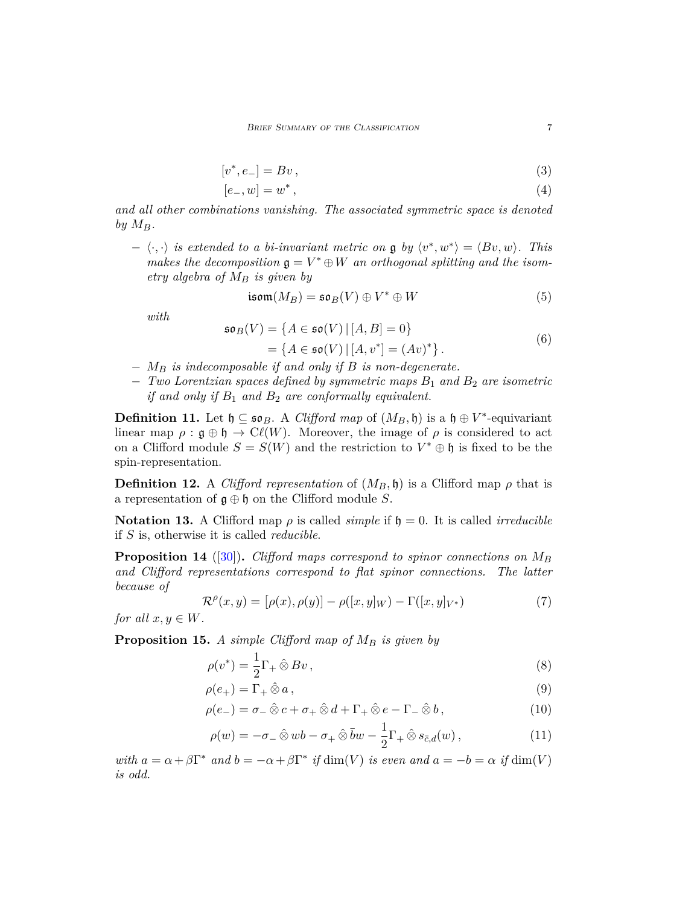$$
[v^*, e_-] = Bv \,,\tag{3}
$$

$$
[e_-, w] = w^*,\tag{4}
$$

*and all other combinations vanishing. The associated symmetric space is denoted*  $by$   $M_B$ *.* 

 $- \langle \cdot, \cdot \rangle$  *is extended to a bi-invariant metric on* g *by*  $\langle v^*, w^* \rangle = \langle Bv, w \rangle$ *. This makes the decomposition*  $\mathfrak{g} = V^* \oplus W$  *an orthogonal splitting and the isometry algebra of M<sup>B</sup> is given by*

$$
\mathfrak{isom}(M_B) = \mathfrak{so}_B(V) \oplus V^* \oplus W \tag{5}
$$

*with*

$$
\mathfrak{so}_B(V) = \{ A \in \mathfrak{so}(V) \mid [A, B] = 0 \}
$$
  
=  $\{ A \in \mathfrak{so}(V) \mid [A, v^*] = (Av)^* \}.$  (6)

- − *M<sup>B</sup> is indecomposable if and only if B is non-degenerate.*
- − *Two Lorentzian spaces defined by symmetric maps B*<sup>1</sup> *and B*<sup>2</sup> *are isometric if and only if B*<sup>1</sup> *and B*<sup>2</sup> *are conformally equivalent.*

**Definition 11.** Let  $\mathfrak{h} \subseteq \mathfrak{so}_B$ . A *Clifford map* of  $(M_B, \mathfrak{h})$  is a  $\mathfrak{h} \oplus V^*$ -equivariant linear map  $\rho : \mathfrak{g} \oplus \mathfrak{h} \to \mathrm{C}\ell(W)$ . Moreover, the image of  $\rho$  is considered to act on a Clifford module  $S = S(W)$  and the restriction to  $V^* \oplus \mathfrak{h}$  is fixed to be the spin-representation.

**Definition 12.** A *Clifford representation* of  $(M_B, \mathfrak{h})$  is a Clifford map  $\rho$  that is a representation of  $\mathfrak{g} \oplus \mathfrak{h}$  on the Clifford module *S*.

**Notation 13.** A Clifford map  $\rho$  is called *simple* if  $\mathfrak{h} = 0$ . It is called *irreducible* if *S* is, otherwise it is called *reducible*.

**Proposition 14** ([\[30\]](#page-16-14))**.** *Clifford maps correspond to spinor connections on M<sup>B</sup> and Clifford representations correspond to flat spinor connections. The latter because of*

$$
\mathcal{R}^{\rho}(x,y) = [\rho(x), \rho(y)] - \rho([x,y]_W) - \Gamma([x,y]_{V^*})
$$
\n(7)

*for all*  $x, y \in W$ *.* 

**Proposition 15.** *A simple Clifford map of M<sup>B</sup> is given by*

$$
\rho(v^*) = \frac{1}{2}\Gamma_+ \hat{\otimes} Bv \,,\tag{8}
$$

$$
\rho(e_+) = \Gamma_+ \hat{\otimes} a \,,\tag{9}
$$

$$
\rho(e_{-}) = \sigma_{-} \hat{\otimes} c + \sigma_{+} \hat{\otimes} d + \Gamma_{+} \hat{\otimes} e - \Gamma_{-} \hat{\otimes} b, \qquad (10)
$$

$$
\rho(w) = -\sigma_- \hat{\otimes} w b - \sigma_+ \hat{\otimes} \bar{b} w - \frac{1}{2} \Gamma_+ \hat{\otimes} s_{\bar{c},d}(w) , \qquad (11)
$$

*with*  $a = \alpha + \beta \Gamma^*$  *and*  $b = -\alpha + \beta \Gamma^*$  *if* dim(*V*) *is even and*  $a = -b = \alpha$  *if* dim(*V*) *is odd.*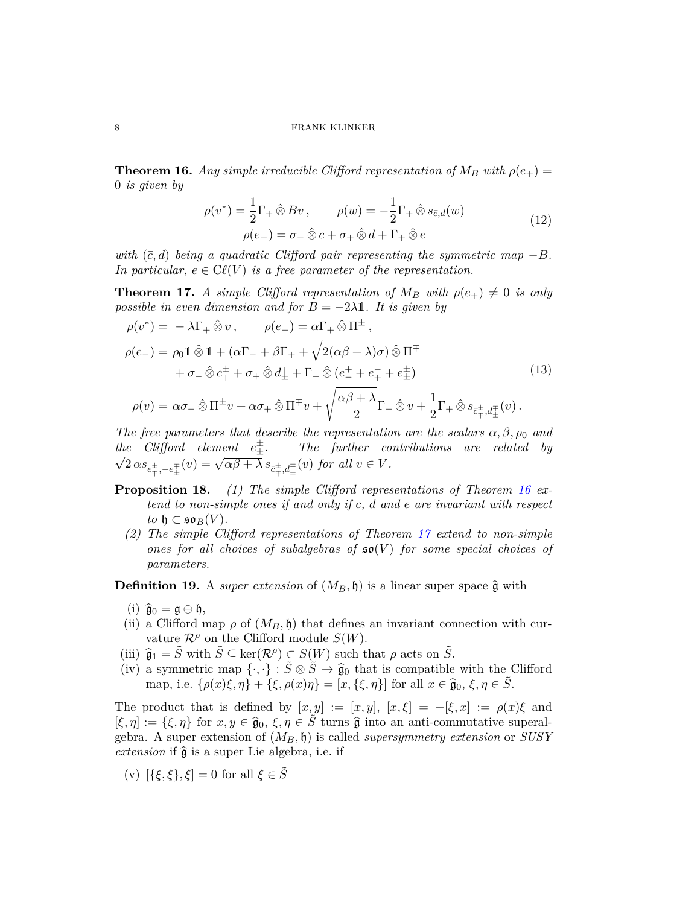<span id="page-7-0"></span>**Theorem 16.** *Any simple irreducible Clifford representation of*  $M_B$  *with*  $\rho(e_+)$  = 0 *is given by*

$$
\rho(v^*) = \frac{1}{2}\Gamma_+ \hat{\otimes} Bv, \qquad \rho(w) = -\frac{1}{2}\Gamma_+ \hat{\otimes} s_{\bar{c},d}(w)
$$
  

$$
\rho(e_-) = \sigma_- \hat{\otimes} c + \sigma_+ \hat{\otimes} d + \Gamma_+ \hat{\otimes} e
$$
 (12)

*with*  $(\bar{c}, d)$  *being a quadratic Clifford pair representing the symmetric map*  $-B$ *. In particular,*  $e \in \mathrm{C}\ell(V)$  *is a free parameter of the representation.* 

<span id="page-7-1"></span>**Theorem 17.** *A simple Clifford representation of*  $M_B$  *with*  $\rho(e_+) \neq 0$  *is only possible in even dimension and for*  $B = -2\lambda \mathbb{1}$ . It is given by

<span id="page-7-5"></span>
$$
\rho(v^*) = -\lambda \Gamma_+ \hat{\otimes} v, \qquad \rho(e_+) = \alpha \Gamma_+ \hat{\otimes} \Pi^{\pm},
$$
  
\n
$$
\rho(e_-) = \rho_0 \mathbb{1} \hat{\otimes} \mathbb{1} + (\alpha \Gamma_- + \beta \Gamma_+ + \sqrt{2(\alpha \beta + \lambda)} \sigma) \hat{\otimes} \Pi^{\mp}
$$
  
\n
$$
+ \sigma_- \hat{\otimes} c_{\mp}^{\pm} + \sigma_+ \hat{\otimes} d_{\mp}^{\mp} + \Gamma_+ \hat{\otimes} (e_-^+ + e_+^- + e_{\pm}^{\pm})
$$
  
\n
$$
\rho(v) = \alpha \sigma_- \hat{\otimes} \Pi^{\pm} v + \alpha \sigma_+ \hat{\otimes} \Pi^{\mp} v + \sqrt{\frac{\alpha \beta + \lambda}{2}} \Gamma_+ \hat{\otimes} v + \frac{1}{2} \Gamma_+ \hat{\otimes} s_{\bar{c}_{\mp}^{\pm}, d_{\mp}^{\pm}}(v).
$$
\n(13)

*The free parameters that describe the representation are the scalars*  $\alpha, \beta, \rho_0$  *and*  $\begin{array}{ccc} the & Clifford & element & e^{\pm}_{\pm} \end{array}$  The further contributions are related by  $\overline{2} \alpha s_{e_{\mp}^{\pm}, -e_{\pm}^{\pm}}(v) = \sqrt{\alpha \beta + \lambda} s_{\overline{c_{\mp}^{\pm}}, d_{\pm}^{\pm}}(v)$  *for all*  $v \in V$ .

- **Proposition 18.** *(1) The simple Clifford representations of Theorem [16](#page-7-0) extend to non-simple ones if and only if c, d and e are invariant with respect*  $to$   $\mathfrak{h}$  ⊂  $\mathfrak{so}_B(V)$ *.* 
	- *(2) The simple Clifford representations of Theorem [17](#page-7-1) extend to non-simple ones for all choices of subalgebras of*  $\mathfrak{so}(V)$  *for some special choices of parameters.*

**Definition 19.** A *super extension* of  $(M_B, \mathfrak{h})$  is a linear super space  $\hat{\mathfrak{g}}$  with

- <span id="page-7-2"></span>(i)  $\hat{\mathfrak{g}}_0 = \mathfrak{g} \oplus \mathfrak{h}$ ,
- (ii) a Clifford map  $\rho$  of  $(M_B, \mathfrak{h})$  that defines an invariant connection with curvature  $\mathcal{R}^{\rho}$  on the Clifford module  $S(W)$ .
- (iii)  $\hat{\mathfrak{g}}_1 = \tilde{S}$  with  $\tilde{S} \subseteq \ker(\mathcal{R}^{\rho}) \subset S(W)$  such that  $\rho$  acts on  $\tilde{S}$ .
- <span id="page-7-3"></span>(iv) a symmetric map  $\{\cdot,\cdot\} : \tilde{S} \otimes \tilde{S} \to \hat{g}_0$  that is compatible with the Clifford map, i.e.  $\{\rho(x)\xi, \eta\} + \{\xi, \rho(x)\eta\} = [x, \{\xi, \eta\}]$  for all  $x \in \hat{\mathfrak{g}}_0, \xi, \eta \in \tilde{S}$ .

The product that is defined by  $[x, y] := [x, y]$ ,  $[x, \xi] = -[\xi, x] := \rho(x)\xi$  and  $[\xi, \eta] := {\xi, \eta}$  for  $x, y \in \hat{g}_0, \xi, \eta \in \tilde{S}$  turns  $\hat{g}$  into an anti-commutative superalgebra. A super extension of (*MB,* h) is called *supersymmetry extension* or *SUSY*  $extension$  if  $\hat{\mathfrak{g}}$  is a super Lie algebra, i.e. if

<span id="page-7-4"></span>(v)  $[\{\xi, \xi\}, \xi] = 0$  for all  $\xi \in \tilde{S}$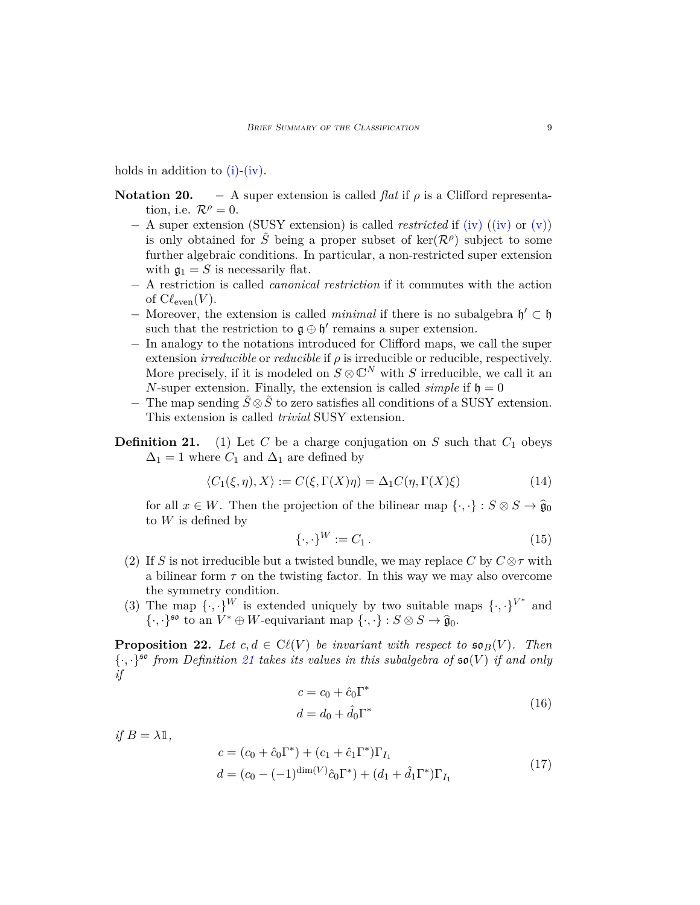holds in addition to  $(i)$ - $(iv)$ .

**Notation 20.** – A super extension is called *flat* if 
$$
\rho
$$
 is a Clifford representation, i.e.  $\mathcal{R}^{\rho} = 0$ .

- − A super extension (SUSY extension) is called *restricted* if [\(iv\)](#page-7-3) [\(\(iv\)](#page-7-3) or [\(v\)\)](#page-7-4) is only obtained for  $\tilde{S}$  being a proper subset of ker( $\mathcal{R}^{\rho}$ ) subject to some further algebraic conditions. In particular, a non-restricted super extension with  $\mathfrak{g}_1 = S$  is necessarily flat.
- − A restriction is called *canonical restriction* if it commutes with the action of  $C\ell_{\text{even}}(V)$ .
- − Moreover, the extension is called *minimal* if there is no subalgebra h <sup>0</sup> ⊂ h such that the restriction to  $\mathfrak{g} \oplus \mathfrak{h}'$  remains a super extension.
- − In analogy to the notations introduced for Clifford maps, we call the super extension *irreducible* or *reducible* if  $\rho$  is irreducible or reducible, respectively. More precisely, if it is modeled on  $S \otimes \mathbb{C}^N$  with *S* irreducible, we call it an *N*-super extension. Finally, the extension is called *simple* if  $\mathfrak{h} = 0$
- − The map sending *S*˜⊗*S*˜ to zero satisfies all conditions of a SUSY extension. This extension is called *trivial* SUSY extension.
- **Definition 21.** (1) Let *C* be a charge conjugation on *S* such that  $C_1$  obeys  $\Delta_1 = 1$  where  $C_1$  and  $\Delta_1$  are defined by

$$
\langle C_1(\xi,\eta),X\rangle := C(\xi,\Gamma(X)\eta) = \Delta_1 C(\eta,\Gamma(X)\xi)
$$
\n(14)

for all  $x \in W$ . Then the projection of the bilinear map  $\{\cdot, \cdot\} : S \otimes S \to \hat{\mathfrak{g}}_0$ to *W* is defined by

$$
\{\cdot,\cdot\}^W := C_1 \,. \tag{15}
$$

- (2) If *S* is not irreducible but a twisted bundle, we may replace *C* by  $C \otimes \tau$  with a bilinear form  $\tau$  on the twisting factor. In this way we may also overcome the symmetry condition.
- (3) The map  $\{\cdot,\cdot\}^W$  is extended uniquely by two suitable maps  $\{\cdot,\cdot\}^{V^*}$  and  $\{\cdot,\cdot\}$ <sup>50</sup> to an  $\overline{V}^* \oplus W$ -equivariant map  $\{\cdot,\cdot\} : S \otimes S \to \widehat{\mathfrak{g}}_0$ .

**Proposition 22.** *Let*  $c, d \in \mathcal{C}\ell(V)$  *be invariant with respect to*  $\mathfrak{so}_B(V)$ *. Then*  $\{\cdot,\cdot\}$ <sup>50</sup> *from Definition* [21](#page-0-1) *takes its values in this subalgebra of*  $\mathfrak{so}(V)$  *if and only if*

$$
c = c_0 + \hat{c}_0 \Gamma^*
$$
  
\n
$$
d = d_0 + \hat{d}_0 \Gamma^*
$$
\n(16)

*if*  $B = \lambda \mathbb{1}$ ,

$$
c = (c_0 + \hat{c}_0 \Gamma^*) + (c_1 + \hat{c}_1 \Gamma^*) \Gamma_{I_1}
$$
  
\n
$$
d = (c_0 - (-1)^{\dim(V)} \hat{c}_0 \Gamma^*) + (d_1 + \hat{d}_1 \Gamma^*) \Gamma_{I_1}
$$
\n(17)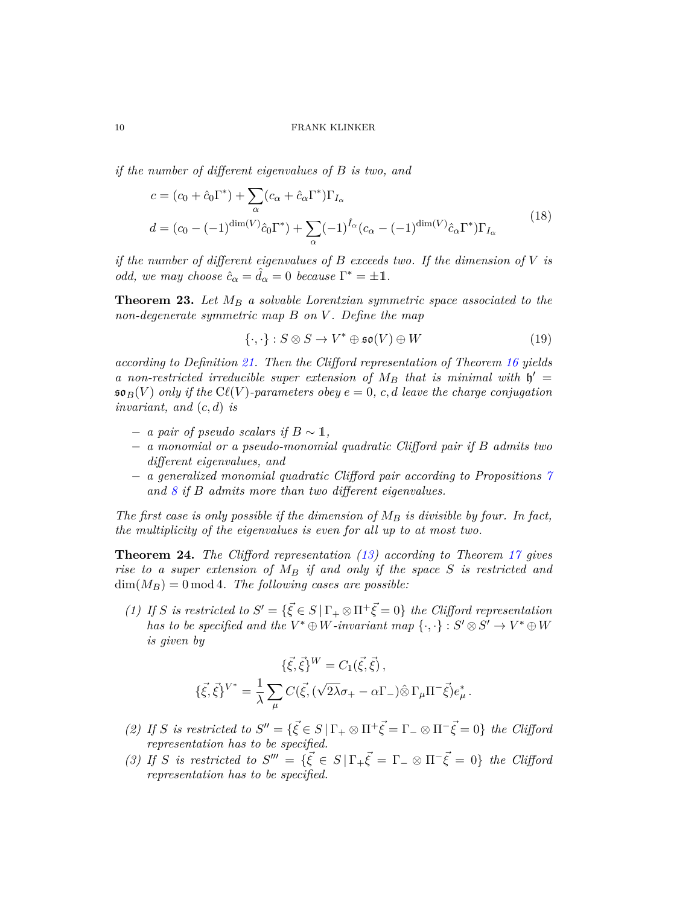*if the number of different eigenvalues of B is two, and*

$$
c = (c_0 + \hat{c}_0 \Gamma^*) + \sum_{\alpha} (c_{\alpha} + \hat{c}_{\alpha} \Gamma^*) \Gamma_{I_{\alpha}}
$$
  
\n
$$
d = (c_0 - (-1)^{\dim(V)} \hat{c}_0 \Gamma^*) + \sum_{\alpha} (-1)^{\hat{I}_{\alpha}} (c_{\alpha} - (-1)^{\dim(V)} \hat{c}_{\alpha} \Gamma^*) \Gamma_{I_{\alpha}}
$$
\n(18)

*if the number of different eigenvalues of B exceeds two. If the dimension of V is odd, we may choose*  $\hat{c}_{\alpha} = \hat{d}_{\alpha} = 0$  *because*  $\Gamma^* = \pm \mathbb{1}$ .

**Theorem 23.** *Let M<sup>B</sup> a solvable Lorentzian symmetric space associated to the non-degenerate symmetric map B on V . Define the map*

$$
\{\cdot,\cdot\}: S \otimes S \to V^* \oplus \mathfrak{so}(V) \oplus W \tag{19}
$$

*according to Definition [21.](#page-0-1) Then the Clifford representation of Theorem [16](#page-7-0) yields a* non-restricted irreducible super extension of  $M_B$  that is minimal with  $\mathfrak{h}' =$  $\mathfrak{so}_B(V)$  *only if the*  $C\ell(V)$ *-parameters obey*  $e = 0$ *, c, d leave the charge conjugation invariant, and* (*c, d*) *is*

- $a pair of pseudo scalars if  $B \sim \mathbb{1}$ ,$
- − *a monomial or a pseudo-monomial quadratic Clifford pair if B admits two different eigenvalues, and*
- − *a generalized monomial quadratic Clifford pair according to Propositions [7](#page-5-0) and [8](#page-5-1) if B admits more than two different eigenvalues.*

*The first case is only possible if the dimension of M<sup>B</sup> is divisible by four. In fact, the multiplicity of the eigenvalues is even for all up to at most two.*

<span id="page-9-0"></span>**Theorem 24.** *The Clifford representation [\(13\)](#page-7-5) according to Theorem [17](#page-7-1) gives rise to a super extension of M<sup>B</sup> if and only if the space S is restricted and*  $\dim(M_B) = 0 \mod 4$ . The following cases are possible:

*(1) If S* is restricted to  $S' = {\{\vec{\xi} \in S \mid \Gamma_+ \otimes \Pi^+ \vec{\xi} = 0\}}$  the Clifford representation *has to be specified and the*  $V^* \oplus W$ *-invariant map*  $\{\cdot, \cdot\} : S' \otimes S' \to V^* \oplus W$ *is given by*

$$
\{\vec{\xi}, \vec{\xi}\}^W = C_1(\vec{\xi}, \vec{\xi}),
$$

$$
\{\vec{\xi}, \vec{\xi}\}^{V^*} = \frac{1}{\lambda} \sum_{\mu} C(\vec{\xi}, (\sqrt{2\lambda}\sigma_{+} - \alpha \Gamma_{-}) \hat{\otimes} \Gamma_{\mu} \Pi^{-} \vec{\xi}) e_{\mu}^*.
$$

- (2) If *S* is restricted to  $S'' = {\{\vec{\xi} \in S \mid \Gamma_+ \otimes \Pi^+ \vec{\xi} = \Gamma_- \otimes \Pi^- \vec{\xi} = 0\}}$  the Clifford *representation has to be specified.*
- *(3)* If *S is restricted to*  $S''' = {\{\vec{\xi} \in S \mid \Gamma_+ \vec{\xi} = \Gamma_- \otimes \Pi^- \vec{\xi} = 0\}}$  *the Clifford representation has to be specified.*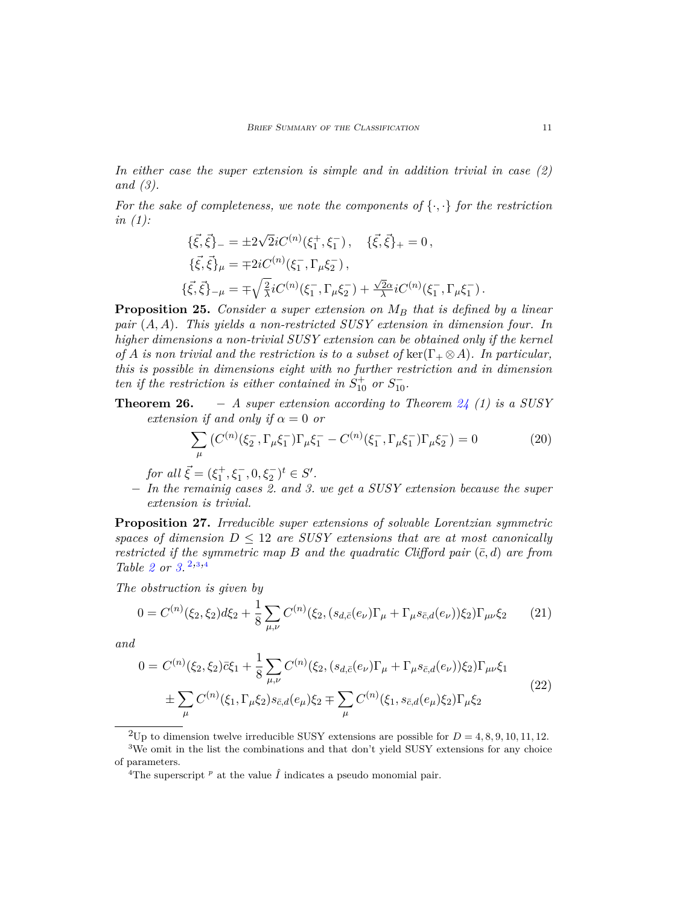*In either case the super extension is simple and in addition trivial in case (2) and (3).*

*For the sake of completeness, we note the components of*  $\{\cdot,\cdot\}$  *for the restriction in (1):*

$$
\begin{split} &\{\vec{\xi},\vec{\xi}\}_{-}=\pm 2\sqrt{2}iC^{(n)}(\xi_1^+,\xi_1^-)\,,\quad \{\vec{\xi},\vec{\xi}\}_+=0\,,\\ &\{\vec{\xi},\vec{\xi}\}_{\mu}=\mp 2iC^{(n)}(\xi_1^-,\Gamma_{\mu}\xi_2^-)\,,\\ &\{\vec{\xi},\vec{\xi}\}_{-\mu}=\mp \sqrt{\frac{2}{\lambda}}iC^{(n)}(\xi_1^-,\Gamma_{\mu}\xi_2^-)+\frac{\sqrt{2}\alpha}{\lambda}iC^{(n)}(\xi_1^-,\Gamma_{\mu}\xi_1^-)\,. \end{split}
$$

**Proposition 25.** *Consider a super extension on M<sup>B</sup> that is defined by a linear pair* (*A, A*)*. This yields a non-restricted SUSY extension in dimension four. In higher dimensions a non-trivial SUSY extension can be obtained only if the kernel of A is non trivial and the restriction is to a subset of* ker( $\Gamma_+ \otimes A$ )*. In particular, this is possible in dimensions eight with no further restriction and in dimension ten if the restriction is either contained in*  $S_{10}^+$  *or*  $S_{10}^-$ *.* 

**Theorem 26.** − *A super extension according to Theorem [24](#page-9-0) (1) is a SUSY extension if and only if*  $\alpha = 0$  *or* 

$$
\sum_{\mu} \left( C^{(n)}(\xi_2^-, \Gamma_{\mu} \xi_1^-) \Gamma_{\mu} \xi_1^- - C^{(n)}(\xi_1^-, \Gamma_{\mu} \xi_1^-) \Gamma_{\mu} \xi_2^- \right) = 0 \tag{20}
$$

*for all*  $\vec{\xi} = (\xi_1^+, \xi_1^-, 0, \xi_2^-)^t \in S'.$ 

− *In the remainig cases 2. and 3. we get a SUSY extension because the super extension is trivial.*

**Proposition 27.** *Irreducible super extensions of solvable Lorentzian symmetric spaces of dimension*  $D \leq 12$  *are SUSY extensions that are at most canonically restricted if the symmetric map B and the quadratic Clifford pair*  $(\bar{c}, d)$  *are from Table [2](#page-11-0) or [3.](#page-12-0)* [2](#page-10-0)*,*[3](#page-10-1)*,*[4](#page-10-2)

*The obstruction is given by*

$$
0 = C^{(n)}(\xi_2, \xi_2) d\xi_2 + \frac{1}{8} \sum_{\mu, \nu} C^{(n)}(\xi_2, (s_{d,\bar{c}}(e_{\nu}) \Gamma_{\mu} + \Gamma_{\mu} s_{\bar{c},d}(e_{\nu})) \xi_2) \Gamma_{\mu\nu} \xi_2
$$
 (21)

*and*

$$
0 = C^{(n)}(\xi_2, \xi_2)\bar{c}\xi_1 + \frac{1}{8} \sum_{\mu,\nu} C^{(n)}(\xi_2, (s_{d,\bar{c}}(e_{\nu})\Gamma_{\mu} + \Gamma_{\mu}s_{\bar{c},d}(e_{\nu}))\xi_2)\Gamma_{\mu\nu}\xi_1
$$
  

$$
\pm \sum_{\mu} C^{(n)}(\xi_1, \Gamma_{\mu}\xi_2)s_{\bar{c},d}(e_{\mu})\xi_2 \mp \sum_{\mu} C^{(n)}(\xi_1, s_{\bar{c},d}(e_{\mu})\xi_2)\Gamma_{\mu}\xi_2
$$
(22)

<span id="page-10-1"></span><span id="page-10-0"></span><sup>2</sup>Up to dimension twelve irreducible SUSY extensions are possible for  $D = 4, 8, 9, 10, 11, 12$ . <sup>3</sup>We omit in the list the combinations and that don't yield SUSY extensions for any choice of parameters.

<span id="page-10-2"></span><sup>&</sup>lt;sup>4</sup>The superscript  $P$  at the value  $\hat{I}$  indicates a pseudo monomial pair.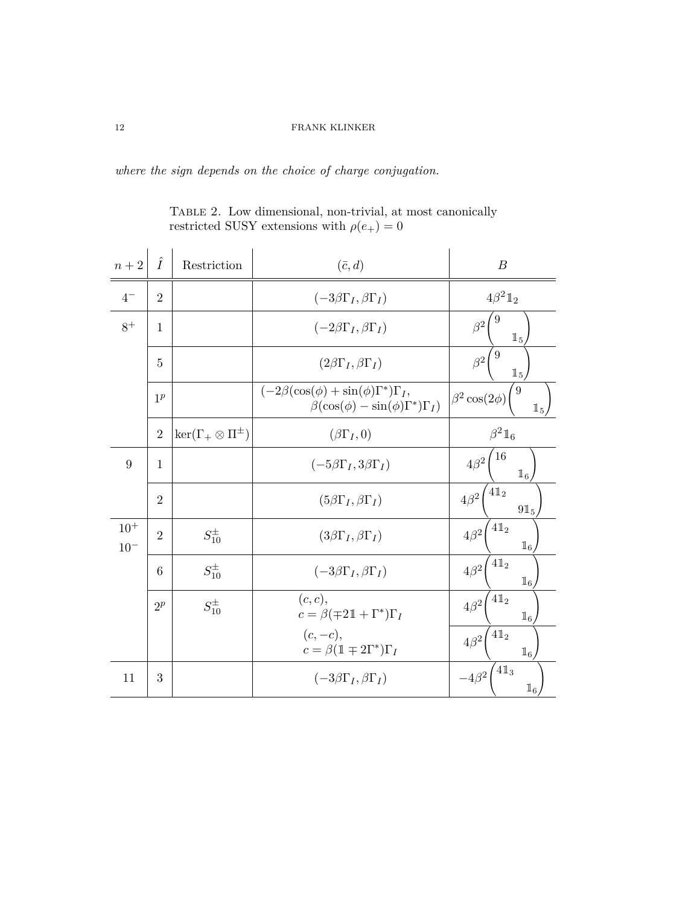<span id="page-11-0"></span>*where the sign depends on the choice of charge conjugation.*

TABLE 2. Low dimensional, non-trivial, at most canonically restricted SUSY extensions with  $\rho(e_+) = 0$ 

| $n+2$             | Î              | Restriction                        | $(\bar{c}, d)$                                                                                            | $\boldsymbol{B}$                                           |
|-------------------|----------------|------------------------------------|-----------------------------------------------------------------------------------------------------------|------------------------------------------------------------|
| $4-$              | $\overline{2}$ |                                    | $(-3\beta\Gamma_I,\beta\Gamma_I)$                                                                         | $4\beta^2$ 1 <sub>2</sub>                                  |
| $8+$              | $\mathbf{1}$   |                                    | $(-2\beta\Gamma_I,\beta\Gamma_I)$                                                                         | 9<br>$\beta^2$<br>$\mathbbm{1}_5$                          |
|                   | 5              |                                    | $(2\beta\Gamma_I,\beta\Gamma_I)$                                                                          | 9<br>$\beta^2$<br>$\mathbb{1}_5$                           |
|                   | 1 <sup>p</sup> |                                    | $(-2\beta(\cos(\phi) + \sin(\phi)\Gamma^*)\Gamma_I,$<br>$\beta(\cos(\phi) - \sin(\phi)\Gamma^*)\Gamma_I)$ | $\overline{9}$<br>$\beta^2 \cos(2\phi)$<br>$\mathbbm{1}_5$ |
|                   | $\overline{2}$ | $\ker(\Gamma_+ \otimes \Pi^{\pm})$ | $(\beta \Gamma_I, 0)$                                                                                     | $\beta^2 1_6$                                              |
| 9                 | $\mathbf{1}$   |                                    | $(-5\beta\Gamma_I,3\beta\Gamma_I)$                                                                        | 16<br>$4\beta^2$<br>$\mathbb{1}_6$                         |
|                   | $\overline{2}$ |                                    | $(5\beta\Gamma_I,\beta\Gamma_I)$                                                                          | $41_2$<br>$4\beta^2$<br>91 <sub>5</sub>                    |
| $10+$<br>$10^{-}$ | $\overline{2}$ | $S_{10}^{\pm}$                     | $(3\beta\Gamma_I,\beta\Gamma_I)$                                                                          | $11_2$<br>$4\beta^2$<br>$\mathbbm{1}_6$                    |
|                   | 6              | $S_{10}^{\pm}$                     | $(-3\beta\Gamma_I,\beta\Gamma_I)$                                                                         | $41_2$<br>$4\beta^2$<br>$\mathbb{1}_6$                     |
|                   | $2^p$          | $S_{10}^{\pm}$                     | (c, c),<br>$c = \beta(\mp 2\mathbb{1} + \Gamma^*)\Gamma_I$                                                | 41 <sub>2</sub><br>$4\beta^2$<br>$\mathbbm{1}_6$           |
|                   |                |                                    | $(c, -c),$<br>$c = \beta(\mathbb{1} \mp 2\Gamma^*)\Gamma_I$                                               | $41_2$<br>$4\beta^2$<br>$\mathbbm{1}_6$                    |
| 11                | 3              |                                    | $(-3\beta\Gamma_I,\beta\Gamma_I)$                                                                         | 41 <sub>3</sub><br>$-4\beta^2$<br>$\mathbb{1}_6$           |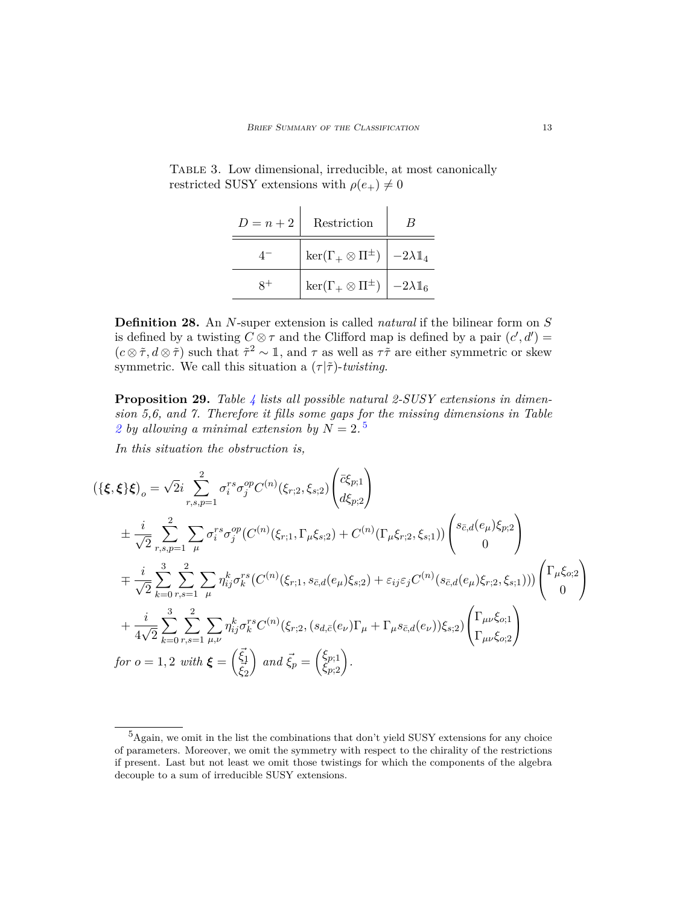<span id="page-12-0"></span>

| $D=n+2$ | Restriction                                                 | B |
|---------|-------------------------------------------------------------|---|
|         | $\ker(\Gamma_+ \otimes \Pi^{\pm})$ $-2\lambda \mathbb{1}_4$ |   |
|         | $\ker(\Gamma_+ \otimes \Pi^{\pm})$ $-2\lambda \mathbb{1}_6$ |   |

TABLE 3. Low dimensional, irreducible, at most canonically restricted SUSY extensions with  $\rho(e_+) \neq 0$ 

**Definition 28.** An *N*-super extension is called *natural* if the bilinear form on *S* is defined by a twisting  $C \otimes \tau$  and the Clifford map is defined by a pair  $(c', d') =$  $(c \otimes \tilde{\tau}, d \otimes \tilde{\tau})$  such that  $\tilde{\tau}^2 \sim \mathbb{1}$ , and  $\tau$  as well as  $\tau \tilde{\tau}$  are either symmetric or skew symmetric. We call this situation a  $(\tau | \tilde{\tau})$ -*twisting*.

**Proposition 29.** *Table [4](#page-13-0) lists all possible natural 2-SUSY extensions in dimension 5,6, and 7. Therefore it fills some gaps for the missing dimensions in Table* [2](#page-11-0) by allowing a minimal extension by  $N = 2.5$  $N = 2.5$ 

*In this situation the obstruction is,*

$$
(\{\xi,\xi\}\xi)_{o} = \sqrt{2}i\sum_{r,s,p=1}^{2}\sigma_{i}^{rs}\sigma_{j}^{op}C^{(n)}(\xi_{r;2},\xi_{s;2})\begin{pmatrix} \bar{c}\xi_{p;1} \\ d\xi_{p;2} \end{pmatrix}
$$
  
\n
$$
\pm \frac{i}{\sqrt{2}}\sum_{r,s,p=1}^{2}\sum_{\mu}\sigma_{i}^{rs}\sigma_{j}^{op}(C^{(n)}(\xi_{r;1},\Gamma_{\mu}\xi_{s;2}) + C^{(n)}(\Gamma_{\mu}\xi_{r;2},\xi_{s;1}))\begin{pmatrix} s_{\bar{c},d}(e_{\mu})\xi_{p;2} \\ 0 \end{pmatrix}
$$
  
\n
$$
\mp \frac{i}{\sqrt{2}}\sum_{k=0}^{3}\sum_{r,s=1}^{2}\sum_{\mu}\eta_{ij}^{k}\sigma_{k}^{rs}(C^{(n)}(\xi_{r;1},s_{\bar{c},d}(e_{\mu})\xi_{s;2}) + \varepsilon_{ij}\varepsilon_{j}C^{(n)}(s_{\bar{c},d}(e_{\mu})\xi_{r;2},\xi_{s;1}))\begin{pmatrix} \Gamma_{\mu}\xi_{o;2} \\ 0 \end{pmatrix}
$$
  
\n
$$
+ \frac{i}{4\sqrt{2}}\sum_{k=0}^{3}\sum_{r,s=1}^{2}\sum_{\mu,\nu}\eta_{ij}^{k}\sigma_{k}^{rs}C^{(n)}(\xi_{r;2},(s_{d,\bar{c}}(e_{\nu})\Gamma_{\mu} + \Gamma_{\mu}s_{\bar{c},d}(e_{\nu}))\xi_{s;2})\begin{pmatrix} \Gamma_{\mu\nu}\xi_{o;1} \\ \Gamma_{\mu\nu}\xi_{o;2} \end{pmatrix}
$$
  
\nfor  $o = 1, 2$  with  $\xi = \begin{pmatrix} \xi_{1}^{1} \\ \xi_{2}^{2} \end{pmatrix}$  and  $\bar{\xi}_{p} = \begin{pmatrix} \xi_{p;1} \\ \xi_{p;2} \end{pmatrix}$ .

<span id="page-12-1"></span> ${}^{5}\mathrm{Again},$  we omit in the list the combinations that don't yield SUSY extensions for any choice of parameters. Moreover, we omit the symmetry with respect to the chirality of the restrictions if present. Last but not least we omit those twistings for which the components of the algebra decouple to a sum of irreducible SUSY extensions.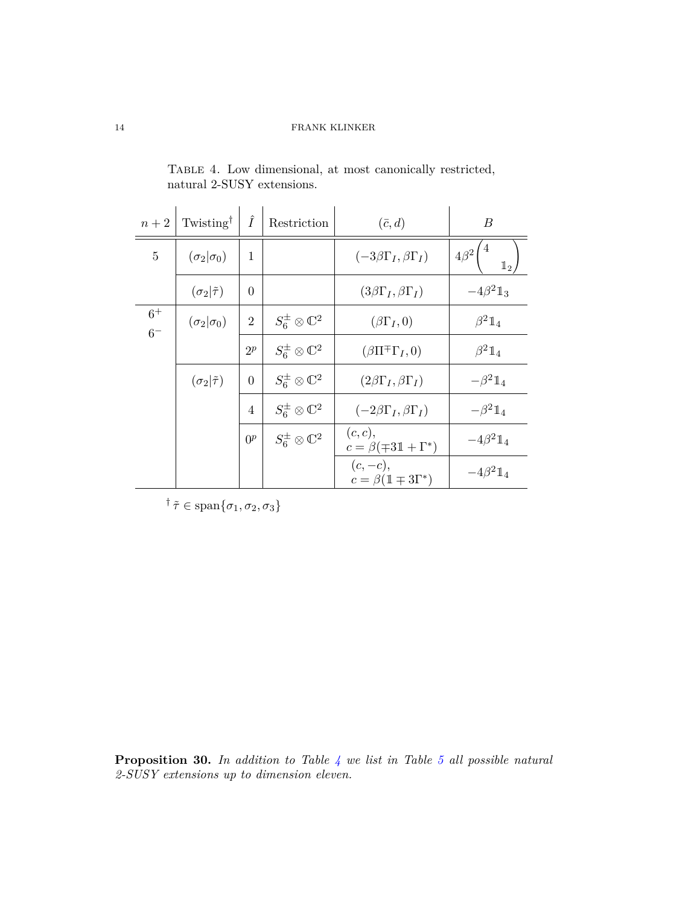| $n+2$          | $Twisting^{\dagger}$      | Î              | Restriction                      | $(\bar{c}, d)$                             | B                            |
|----------------|---------------------------|----------------|----------------------------------|--------------------------------------------|------------------------------|
| $\overline{5}$ | $(\sigma_2 \sigma_0)$     | 1              |                                  | $(-3\beta\Gamma_I,\beta\Gamma_I)$          | $4\beta^2$<br>$\mathbb{1}_2$ |
|                | $(\sigma_2 \tilde{\tau})$ | $\theta$       |                                  | $(3\beta\Gamma_I,\beta\Gamma_I)$           | $-4\beta^2\mathbb{1}_3$      |
| $6+$<br>$6-$   | $(\sigma_2 \sigma_0)$     | $\overline{2}$ | $S_6^{\pm}\otimes \mathbb{C}^2$  | $(\beta \Gamma_I, 0)$                      | $\beta^2 \mathbb{1}_4$       |
|                |                           | $2^p$          | $S_6^{\pm} \otimes \mathbb{C}^2$ | $(\beta \Pi^{\mp} \Gamma_I, 0)$            | $\beta^2 1_4$                |
|                | $(\sigma_2 \tilde{\tau})$ | $\theta$       | $S_6^{\pm} \otimes \mathbb{C}^2$ | $(2\beta\Gamma_I,\beta\Gamma_I)$           | $-\beta^2 1_4$               |
|                |                           | $\overline{4}$ | $S_6^{\pm} \otimes \mathbb{C}^2$ | $(-2\beta\Gamma_I,\beta\Gamma_I)$          | $-\beta^2 1_4$               |
|                |                           | 0 <sup>p</sup> | $S_6^{\pm}\otimes\mathbb{C}^2$   | (c, c),<br>$c = \beta(\mp 31 + \Gamma^*)$  | $-4\beta^2 1_4$              |
|                |                           |                |                                  | $(c, -c),$<br>$c = \beta(1 \mp 3\Gamma^*)$ | $-4\beta^2 1_4$              |

<span id="page-13-0"></span>Table 4. Low dimensional, at most canonically restricted, natural 2-SUSY extensions.

<sup> $\dagger$ </sup>  $\tilde{\tau} \in \text{span}\{\sigma_1, \sigma_2, \sigma_3\}$ 

**Proposition 30.** *In addition to Table [4](#page-13-0) we list in Table [5](#page-14-0) all possible natural 2-SUSY extensions up to dimension eleven.*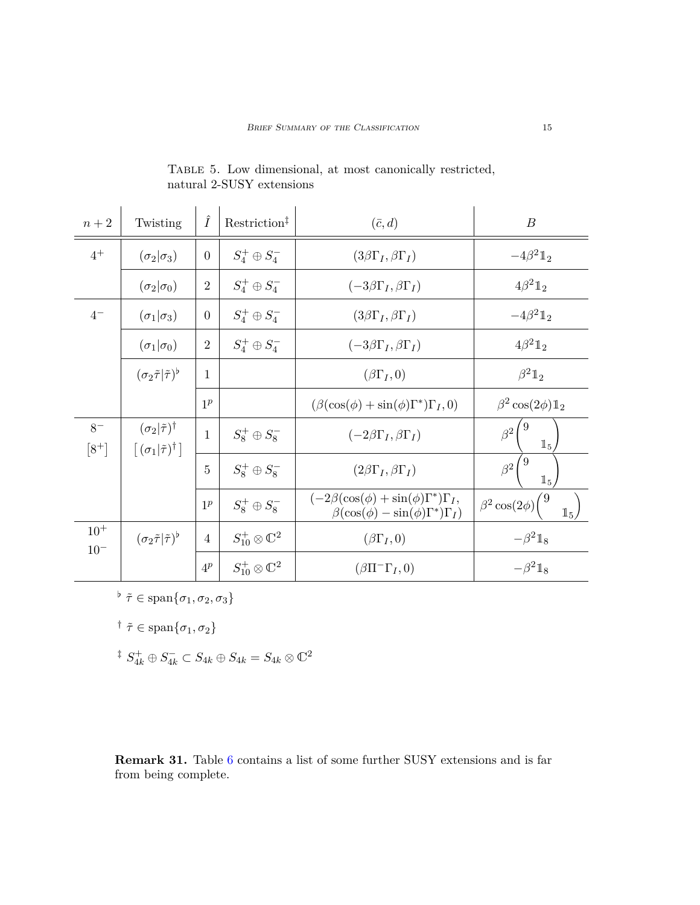| $n+2$              | Twisting                                                                                  | $\hat{I}$      | Restriction <sup>‡</sup>       | $(\bar{c}, d)$                                                                                            | $\boldsymbol{B}$                                      |  |
|--------------------|-------------------------------------------------------------------------------------------|----------------|--------------------------------|-----------------------------------------------------------------------------------------------------------|-------------------------------------------------------|--|
| $4^+$              | $(\sigma_2 \sigma_3)$                                                                     | $\overline{0}$ | $S_4^+\oplus S_4^-$            | $(3\beta\Gamma_I,\beta\Gamma_I)$                                                                          | $-4\beta^2\mathbb{1}_2$                               |  |
|                    | $(\sigma_2 \sigma_0)$                                                                     | $\overline{2}$ | $S_4^+\oplus S_4^-$            | $(-3\beta\Gamma_I,\beta\Gamma_I)$                                                                         | $4\beta^2\mathbb{1}_2$                                |  |
| $4-$               | $(\sigma_1 \sigma_3)$                                                                     | $\overline{0}$ | $S_4^+\oplus S_4^-$            | $(3\beta\Gamma_I,\beta\Gamma_I)$                                                                          | $-4\beta^2 1_2$                                       |  |
|                    | $(\sigma_1 \sigma_0)$                                                                     | $\overline{2}$ | $S_4^+\oplus S_4^-$            | $(-3\beta\Gamma_I,\beta\Gamma_I)$                                                                         | $4\beta^2\mathbb{1}_2$                                |  |
|                    | $(\sigma_2\tilde{\tau} \tilde{\tau})^{\flat}$                                             | 1              |                                | $(\beta \Gamma_I, 0)$                                                                                     | $\beta^2 \mathbb{1}_2$                                |  |
|                    |                                                                                           | 1 <sup>p</sup> |                                | $(\beta(\cos(\phi) + \sin(\phi)\Gamma^*)\Gamma_I, 0)$                                                     | $\beta^2 \cos(2\phi) \mathbb{1}_2$                    |  |
| $8-$<br>$[8^+]$    | $(\sigma_2 \tilde{\tau})^{\dagger}$<br>$\left[ (\sigma_1 \tilde{\tau})^{\dagger} \right]$ | $\mathbf{1}$   | $S_8^+\oplus S_8^-$            | $(-2\beta\Gamma_I,\beta\Gamma_I)$                                                                         | $^{\prime}9$<br>$\beta^2$<br>$1_{5}$                  |  |
|                    |                                                                                           | 5              | $S_8^+\oplus S_8^-$            | $(2\beta\Gamma_I,\beta\Gamma_I)$                                                                          | $^{\prime}9$<br>$\beta^2$<br>$\mathbb{1}_5$           |  |
|                    |                                                                                           | $1^p\,$        | $S_8^+\oplus S_8^-$            | $(-2\beta(\cos(\phi) + \sin(\phi)\Gamma^*)\Gamma_I,$<br>$\beta(\cos(\phi) - \sin(\phi)\Gamma^*)\Gamma_I)$ | $\gamma_9$<br>$\beta^2 \cos(2\phi)$<br>1 <sub>5</sub> |  |
| $10^{+}$<br>$10^-$ | $(\sigma_2\tilde{\tau} \tilde{\tau})^{\flat}$                                             | $\overline{4}$ | $S_{10}^+\otimes \mathbb{C}^2$ | $(\beta \Gamma_I, 0)$                                                                                     | $-\beta^2 \mathbb{1}_8$                               |  |
|                    |                                                                                           | $4^p\,$        | $S_{10}^+\otimes \mathbb{C}^2$ | $(\beta\Pi^-\Gamma_I,0)$                                                                                  | $-\beta^2 \mathbb{1}_8$                               |  |

<span id="page-14-0"></span>Table 5. Low dimensional, at most canonically restricted, natural 2-SUSY extensions

$$
\circ \tilde{\tau} \in \text{span}\{\sigma_1, \sigma_2, \sigma_3\}
$$

$$
\dagger \tilde{\tau} \in \text{span}\{\sigma_1, \sigma_2\}
$$

$$
\stackrel{\ddagger}{\cdot} S_{4k}^+ \oplus S_{4k}^- \subset S_{4k} \oplus S_{4k} = S_{4k} \otimes \mathbb{C}^2
$$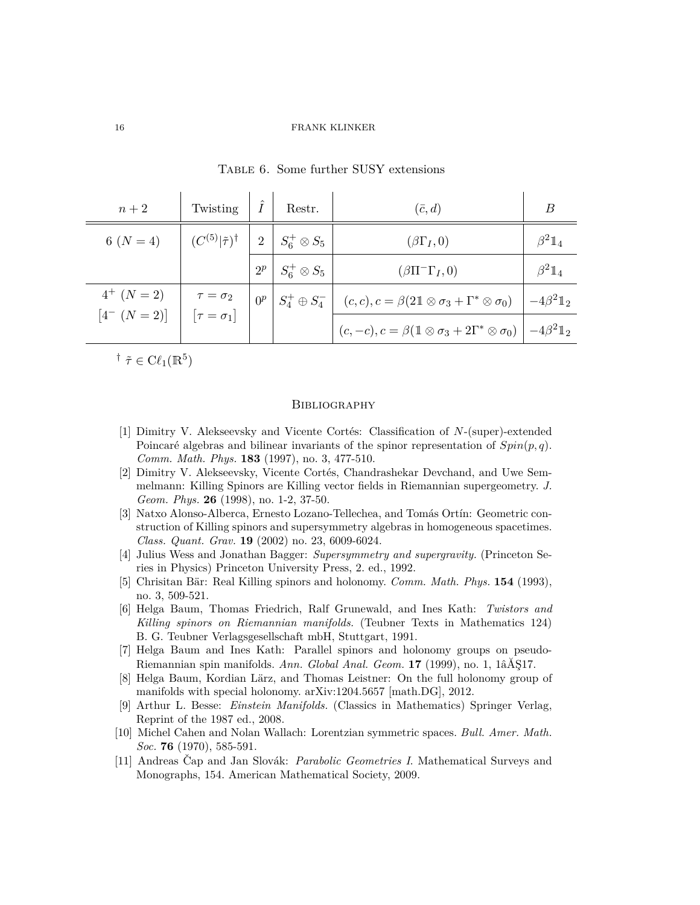| $n+2$           | Twisting                              | ÷              | Restr.             | $(\bar{c}, d)$                                                                         | B                       |
|-----------------|---------------------------------------|----------------|--------------------|----------------------------------------------------------------------------------------|-------------------------|
| 6 $(N = 4)$     | $(C^{(5)}   \tilde{\tau})^\dagger$    | $\overline{2}$ | $S_6^+\otimes S_5$ | $(\beta \Gamma_I, 0)$                                                                  | $\beta^2 1_4$           |
|                 |                                       | $2^p$          | $S_6^+\otimes S_5$ | $(\beta \Pi^{-} \Gamma_I, 0)$                                                          | $\beta^2 1_4$           |
| $4^+$ $(N = 2)$ | $\tau = \sigma_2$ $[\tau = \sigma_1]$ | 0 <sup>p</sup> |                    | $S_4^+ \oplus S_4^ (c, c), c = \beta(21 \otimes \sigma_3 + \Gamma^* \otimes \sigma_0)$ | $-4\beta^2\mathbb{1}_2$ |
| $[4^{-} (N=2)]$ |                                       |                |                    | $(c, -c), c = \beta(1 \otimes \sigma_3 + 2\Gamma^* \otimes \sigma_0)$ $-4\beta^2 1_2$  |                         |

<span id="page-15-8"></span>Table 6. Some further SUSY extensions

<sup>†</sup>  $\tilde{\tau} \in \mathrm{C}\ell_1(\mathbb{R}^5)$ 

### **BIBLIOGRAPHY**

- <span id="page-15-0"></span>[1] Dimitry V. Alekseevsky and Vicente Cortés: Classification of *N*-(super)-extended Poincaré algebras and bilinear invariants of the spinor representation of  $Spin(p,q)$ . *Comm. Math. Phys.* **183** (1997), no. 3, 477-510.
- <span id="page-15-1"></span>[2] Dimitry V. Alekseevsky, Vicente Cortés, Chandrashekar Devchand, and Uwe Semmelmann: Killing Spinors are Killing vector fields in Riemannian supergeometry. *J. Geom. Phys.* **26** (1998), no. 1-2, 37-50.
- <span id="page-15-7"></span>[3] Natxo Alonso-Alberca, Ernesto Lozano-Tellechea, and Tomás Ortín: Geometric construction of Killing spinors and supersymmetry algebras in homogeneous spacetimes. *Class. Quant. Grav.* **19** (2002) no. 23, 6009-6024.
- <span id="page-15-2"></span>[4] Julius Wess and Jonathan Bagger: *Supersymmetry and supergravity.* (Princeton Series in Physics) Princeton University Press, 2. ed., 1992.
- <span id="page-15-5"></span>[5] Chrisitan B¨ar: Real Killing spinors and holonomy. *Comm. Math. Phys.* **154** (1993), no. 3, 509-521.
- <span id="page-15-6"></span>[6] Helga Baum, Thomas Friedrich, Ralf Grunewald, and Ines Kath: *Twistors and Killing spinors on Riemannian manifolds.* (Teubner Texts in Mathematics 124) B. G. Teubner Verlagsgesellschaft mbH, Stuttgart, 1991.
- [7] Helga Baum and Ines Kath: Parallel spinors and holonomy groups on pseudo-Riemannian spin manifolds. *Ann. Global Anal. Geom.* **17** (1999), no. 1, 1âĂŞ17.
- <span id="page-15-4"></span>[8] Helga Baum, Kordian Lärz, and Thomas Leistner: On the full holonomy group of manifolds with special holonomy. arXiv:1204.5657 [math.DG], 2012.
- [9] Arthur L. Besse: *Einstein Manifolds.* (Classics in Mathematics) Springer Verlag, Reprint of the 1987 ed., 2008.
- <span id="page-15-3"></span>[10] Michel Cahen and Nolan Wallach: Lorentzian symmetric spaces. *Bull. Amer. Math. Soc.* **76** (1970), 585-591.
- [11] Andreas Cap and Jan Slovák: *Parabolic Geometries I*. Mathematical Surveys and Monographs, 154. American Mathematical Society, 2009.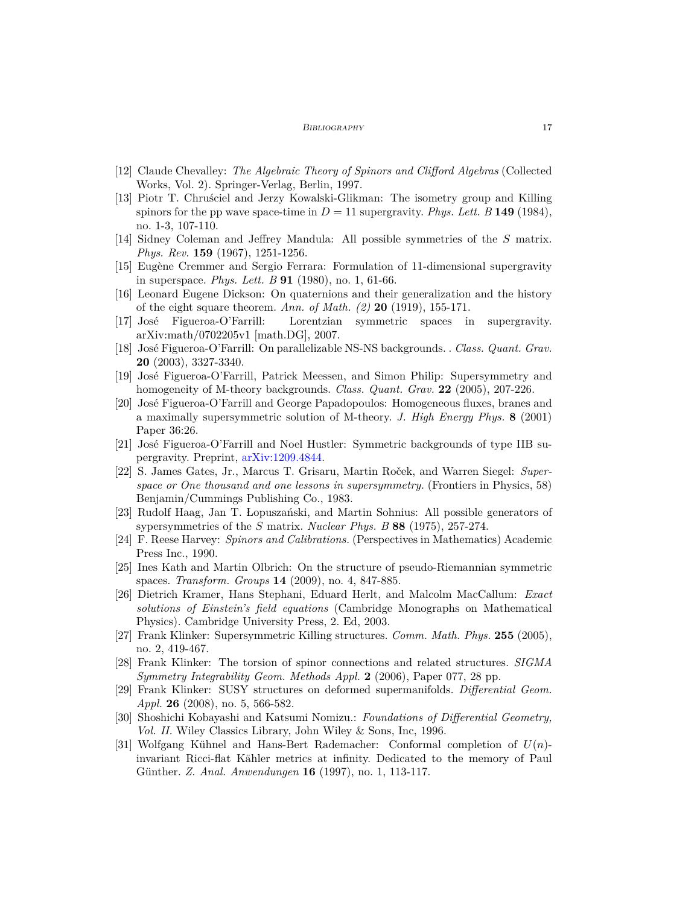#### BIBLIOGRAPHY 17

- <span id="page-16-3"></span>[12] Claude Chevalley: *The Algebraic Theory of Spinors and Clifford Algebras* (Collected Works, Vol. 2). Springer-Verlag, Berlin, 1997.
- <span id="page-16-9"></span>[13] Piotr T. Chrusciel and Jerzy Kowalski-Glikman: The isometry group and Killing spinors for the pp wave space-time in  $D = 11$  supergravity. *Phys. Lett.* B **149** (1984), no. 1-3, 107-110.
- <span id="page-16-0"></span>[14] Sidney Coleman and Jeffrey Mandula: All possible symmetries of the *S* matrix. *Phys. Rev.* **159** (1967), 1251-1256.
- <span id="page-16-7"></span>[15] Eugène Cremmer and Sergio Ferrara: Formulation of 11-dimensional supergravity in superspace. *Phys. Lett. B* **91** (1980), no. 1, 61-66.
- [16] Leonard Eugene Dickson: On quaternions and their generalization and the history of the eight square theorem. *Ann. of Math. (2)* **20** (1919), 155-171.
- <span id="page-16-11"></span>[17] José Figueroa-O'Farrill: Lorentzian symmetric spaces in supergravity. arXiv:math/0702205v1 [math.DG], 2007.
- [18] Jos´e Figueroa-O'Farrill: On parallelizable NS-NS backgrounds. . *Class. Quant. Grav.* **20** (2003), 3327-3340.
- <span id="page-16-10"></span>[19] José Figueroa-O'Farrill, Patrick Meessen, and Simon Philip: Supersymmetry and homogeneity of M-theory backgrounds. *Class. Quant. Grav.* **22** (2005), 207-226.
- <span id="page-16-12"></span>[20] Jos´e Figueroa-O'Farrill and George Papadopoulos: Homogeneous fluxes, branes and a maximally supersymmetric solution of M-theory. *J. High Energy Phys.* **8** (2001) Paper 36:26.
- <span id="page-16-13"></span>[21] José Figueroa-O'Farrill and Noel Hustler: Symmetric backgrounds of type IIB supergravity. Preprint, [arXiv:1209.4844.](http://arxiv.org/abs/1209.4884)
- <span id="page-16-6"></span>[22] S. James Gates, Jr., Marcus T. Grisaru, Martin Roček, and Warren Siegel: *Superspace or One thousand and one lessons in supersymmetry.* (Frontiers in Physics, 58) Benjamin/Cummings Publishing Co., 1983.
- <span id="page-16-1"></span>[23] Rudolf Haag, Jan T. Lopuszański, and Martin Sohnius: All possible generators of sypersymmetries of the *S* matrix. *Nuclear Phys. B* **88** (1975), 257-274.
- <span id="page-16-2"></span>[24] F. Reese Harvey: *Spinors and Calibrations.* (Perspectives in Mathematics) Academic Press Inc., 1990.
- <span id="page-16-8"></span>[25] Ines Kath and Martin Olbrich: On the structure of pseudo-Riemannian symmetric spaces. *Transform. Groups* **14** (2009), no. 4, 847-885.
- [26] Dietrich Kramer, Hans Stephani, Eduard Herlt, and Malcolm MacCallum: *Exact solutions of Einstein's field equations* (Cambridge Monographs on Mathematical Physics). Cambridge University Press, 2. Ed, 2003.
- <span id="page-16-4"></span>[27] Frank Klinker: Supersymmetric Killing structures. *Comm. Math. Phys.* **255** (2005), no. 2, 419-467.
- [28] Frank Klinker: The torsion of spinor connections and related structures. *SIGMA Symmetry Integrability Geom. Methods Appl.* **2** (2006), Paper 077, 28 pp.
- <span id="page-16-5"></span>[29] Frank Klinker: SUSY structures on deformed supermanifolds. *Differential Geom. Appl.* **26** (2008), no. 5, 566-582.
- <span id="page-16-14"></span>[30] Shoshichi Kobayashi and Katsumi Nomizu.: *Foundations of Differential Geometry, Vol. II.* Wiley Classics Library, John Wiley & Sons, Inc, 1996.
- [31] Wolfgang Kühnel and Hans-Bert Rademacher: Conformal completion of  $U(n)$ invariant Ricci-flat Kähler metrics at infinity. Dedicated to the memory of Paul Günther. *Z. Anal. Anwendungen* **16** (1997), no. 1, 113-117.